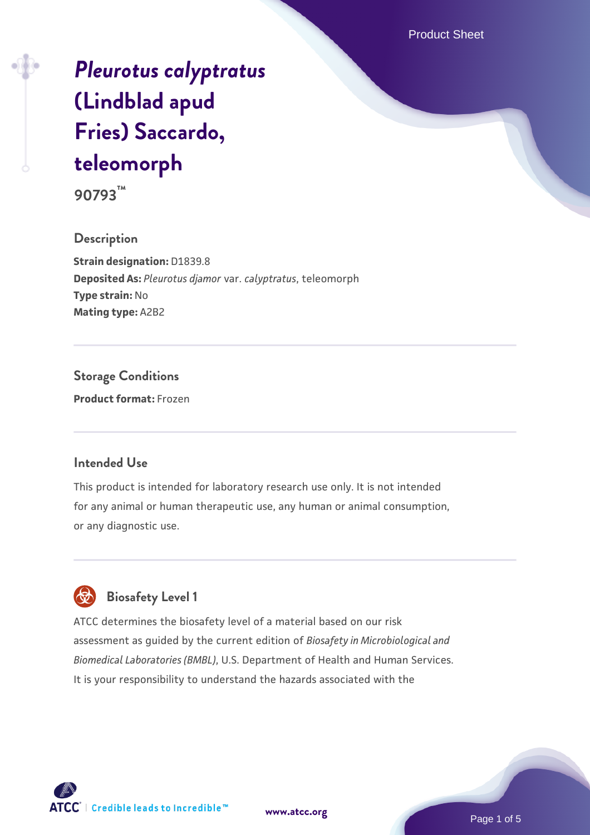Product Sheet

# *[Pleurotus calyptratus](https://www.atcc.org/products/90793)* **[\(Lindblad apud](https://www.atcc.org/products/90793) [Fries\) Saccardo,](https://www.atcc.org/products/90793) [teleomorph](https://www.atcc.org/products/90793)**

**90793™**

**Description Strain designation:** D1839.8 **Deposited As:** *Pleurotus djamor* var. *calyptratus*, teleomorph **Type strain:** No **Mating type:** A2B2

**Storage Conditions Product format:** Frozen

### **Intended Use**

This product is intended for laboratory research use only. It is not intended for any animal or human therapeutic use, any human or animal consumption, or any diagnostic use.



# **Biosafety Level 1**

ATCC determines the biosafety level of a material based on our risk assessment as guided by the current edition of *Biosafety in Microbiological and Biomedical Laboratories (BMBL)*, U.S. Department of Health and Human Services. It is your responsibility to understand the hazards associated with the



**[www.atcc.org](http://www.atcc.org)**

Page 1 of 5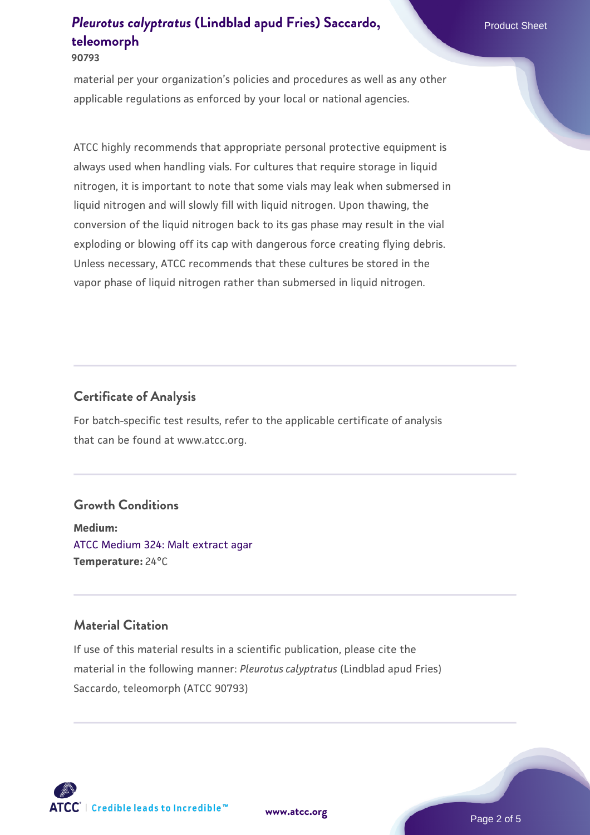#### **90793**

material per your organization's policies and procedures as well as any other applicable regulations as enforced by your local or national agencies.

ATCC highly recommends that appropriate personal protective equipment is always used when handling vials. For cultures that require storage in liquid nitrogen, it is important to note that some vials may leak when submersed in liquid nitrogen and will slowly fill with liquid nitrogen. Upon thawing, the conversion of the liquid nitrogen back to its gas phase may result in the vial exploding or blowing off its cap with dangerous force creating flying debris. Unless necessary, ATCC recommends that these cultures be stored in the vapor phase of liquid nitrogen rather than submersed in liquid nitrogen.

### **Certificate of Analysis**

For batch-specific test results, refer to the applicable certificate of analysis that can be found at www.atcc.org.

### **Growth Conditions**

**Medium:**  [ATCC Medium 324: Malt extract agar](https://www.atcc.org/-/media/product-assets/documents/microbial-media-formulations/3/2/4/atcc-medium-324.pdf?rev=5a8b3f6dcb23452d9462ec38b36f0bb6) **Temperature:** 24°C

# **Material Citation**

If use of this material results in a scientific publication, please cite the material in the following manner: *Pleurotus calyptratus* (Lindblad apud Fries) Saccardo, teleomorph (ATCC 90793)



**[www.atcc.org](http://www.atcc.org)**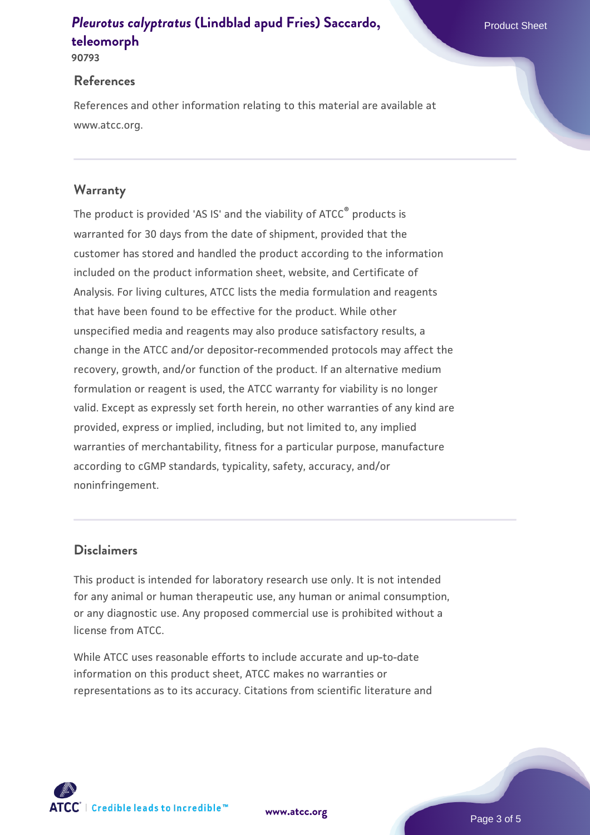#### **90793**

### **References**

References and other information relating to this material are available at www.atcc.org.

# **Warranty**

The product is provided 'AS IS' and the viability of ATCC® products is warranted for 30 days from the date of shipment, provided that the customer has stored and handled the product according to the information included on the product information sheet, website, and Certificate of Analysis. For living cultures, ATCC lists the media formulation and reagents that have been found to be effective for the product. While other unspecified media and reagents may also produce satisfactory results, a change in the ATCC and/or depositor-recommended protocols may affect the recovery, growth, and/or function of the product. If an alternative medium formulation or reagent is used, the ATCC warranty for viability is no longer valid. Except as expressly set forth herein, no other warranties of any kind are provided, express or implied, including, but not limited to, any implied warranties of merchantability, fitness for a particular purpose, manufacture according to cGMP standards, typicality, safety, accuracy, and/or noninfringement.

# **Disclaimers**

This product is intended for laboratory research use only. It is not intended for any animal or human therapeutic use, any human or animal consumption, or any diagnostic use. Any proposed commercial use is prohibited without a license from ATCC.

While ATCC uses reasonable efforts to include accurate and up-to-date information on this product sheet, ATCC makes no warranties or representations as to its accuracy. Citations from scientific literature and

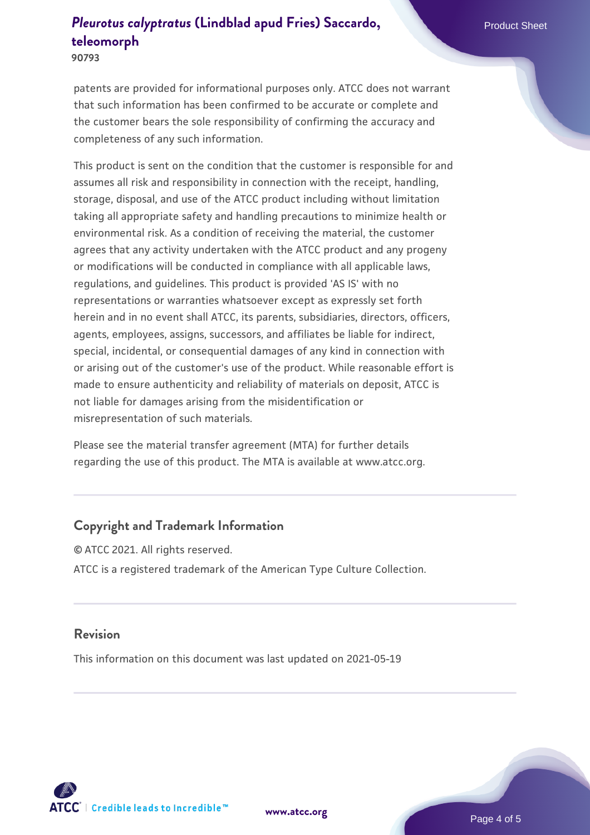**90793**

patents are provided for informational purposes only. ATCC does not warrant that such information has been confirmed to be accurate or complete and the customer bears the sole responsibility of confirming the accuracy and completeness of any such information.

This product is sent on the condition that the customer is responsible for and assumes all risk and responsibility in connection with the receipt, handling, storage, disposal, and use of the ATCC product including without limitation taking all appropriate safety and handling precautions to minimize health or environmental risk. As a condition of receiving the material, the customer agrees that any activity undertaken with the ATCC product and any progeny or modifications will be conducted in compliance with all applicable laws, regulations, and guidelines. This product is provided 'AS IS' with no representations or warranties whatsoever except as expressly set forth herein and in no event shall ATCC, its parents, subsidiaries, directors, officers, agents, employees, assigns, successors, and affiliates be liable for indirect, special, incidental, or consequential damages of any kind in connection with or arising out of the customer's use of the product. While reasonable effort is made to ensure authenticity and reliability of materials on deposit, ATCC is not liable for damages arising from the misidentification or misrepresentation of such materials.

Please see the material transfer agreement (MTA) for further details regarding the use of this product. The MTA is available at www.atcc.org.

# **Copyright and Trademark Information**

© ATCC 2021. All rights reserved. ATCC is a registered trademark of the American Type Culture Collection.

### **Revision**

This information on this document was last updated on 2021-05-19



**[www.atcc.org](http://www.atcc.org)**